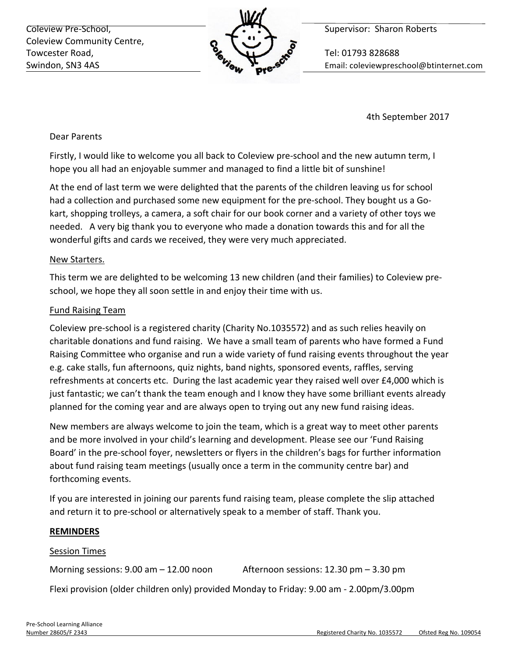Coleview Pre-School, **Supervisor:** Sharon Roberts Coleview Community Centre, Towcester Road,  $\sim$  Tel: 01793 828688



Swindon, SN3 4AS **Email:** Coleviewpreschool@btinternet.com

4th September 2017

## Dear Parents

Firstly, I would like to welcome you all back to Coleview pre-school and the new autumn term, I hope you all had an enjoyable summer and managed to find a little bit of sunshine!

At the end of last term we were delighted that the parents of the children leaving us for school had a collection and purchased some new equipment for the pre-school. They bought us a Gokart, shopping trolleys, a camera, a soft chair for our book corner and a variety of other toys we needed. A very big thank you to everyone who made a donation towards this and for all the wonderful gifts and cards we received, they were very much appreciated.

## New Starters.

This term we are delighted to be welcoming 13 new children (and their families) to Coleview preschool, we hope they all soon settle in and enjoy their time with us.

# Fund Raising Team

Coleview pre-school is a registered charity (Charity No.1035572) and as such relies heavily on charitable donations and fund raising. We have a small team of parents who have formed a Fund Raising Committee who organise and run a wide variety of fund raising events throughout the year e.g. cake stalls, fun afternoons, quiz nights, band nights, sponsored events, raffles, serving refreshments at concerts etc. During the last academic year they raised well over £4,000 which is just fantastic; we can't thank the team enough and I know they have some brilliant events already planned for the coming year and are always open to trying out any new fund raising ideas.

New members are always welcome to join the team, which is a great way to meet other parents and be more involved in your child's learning and development. Please see our 'Fund Raising Board' in the pre-school foyer, newsletters or flyers in the children's bags for further information about fund raising team meetings (usually once a term in the community centre bar) and forthcoming events.

If you are interested in joining our parents fund raising team, please complete the slip attached and return it to pre-school or alternatively speak to a member of staff. Thank you.

## **REMINDERS**

## **Session Times**

Morning sessions:  $9.00 \text{ am} - 12.00 \text{ noon}$  Afternoon sessions:  $12.30 \text{ pm} - 3.30 \text{ pm}$ 

Flexi provision (older children only) provided Monday to Friday: 9.00 am - 2.00pm/3.00pm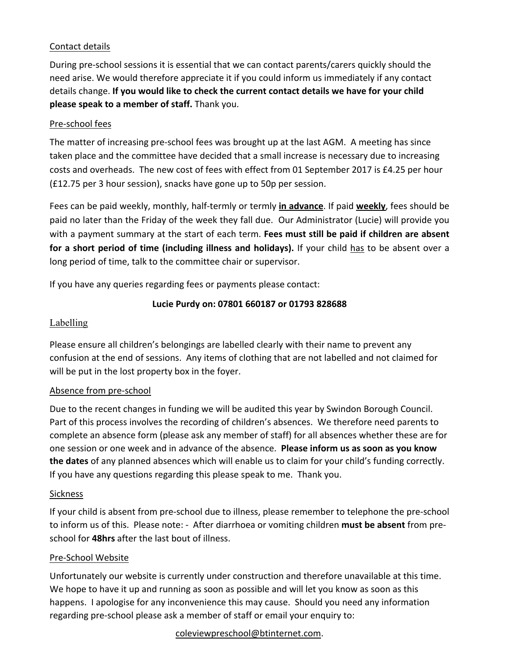## Contact details

During pre-school sessions it is essential that we can contact parents/carers quickly should the need arise. We would therefore appreciate it if you could inform us immediately if any contact details change. If you would like to check the current contact details we have for your child **please speak to a member of staff.** Thank you.

#### Pre-school fees

The matter of increasing pre-school fees was brought up at the last AGM. A meeting has since taken place and the committee have decided that a small increase is necessary due to increasing costs and overheads. The new cost of fees with effect from 01 September 2017 is £4.25 per hour (£12.75 per 3 hour session), snacks have gone up to 50p per session.

Fees can be paid weekly, monthly, half-termly or termly **in advance**. If paid weekly, fees should be paid no later than the Friday of the week they fall due. Our Administrator (Lucie) will provide you with a payment summary at the start of each term. **Fees must still be paid if children are absent for a short period of time (including illness and holidays).** If your child has to be absent over a long period of time, talk to the committee chair or supervisor.

If you have any queries regarding fees or payments please contact:

## **Lucie Purdy on: 07801 660187 or 01793 828688**

## Labelling

Please ensure all children's belongings are labelled clearly with their name to prevent any confusion at the end of sessions. Any items of clothing that are not labelled and not claimed for will be put in the lost property box in the foyer.

## Absence from pre-school

Due to the recent changes in funding we will be audited this year by Swindon Borough Council. Part of this process involves the recording of children's absences. We therefore need parents to complete an absence form (please ask any member of staff) for all absences whether these are for one session or one week and in advance of the absence. **Please inform us as soon as you know the dates** of any planned absences which will enable us to claim for your child's funding correctly. If you have any questions regarding this please speak to me. Thank you.

#### **Sickness**

If your child is absent from pre-school due to illness, please remember to telephone the pre-school to inform us of this. Please note: - After diarrhoea or vomiting children must be absent from preschool for **48hrs** after the last bout of illness.

## Pre-School Website

Unfortunately our website is currently under construction and therefore unavailable at this time. We hope to have it up and running as soon as possible and will let you know as soon as this happens. I apologise for any inconvenience this may cause. Should you need any information regarding pre-school please ask a member of staff or email your enquiry to:

#### coleviewpreschool@btinternet.com.